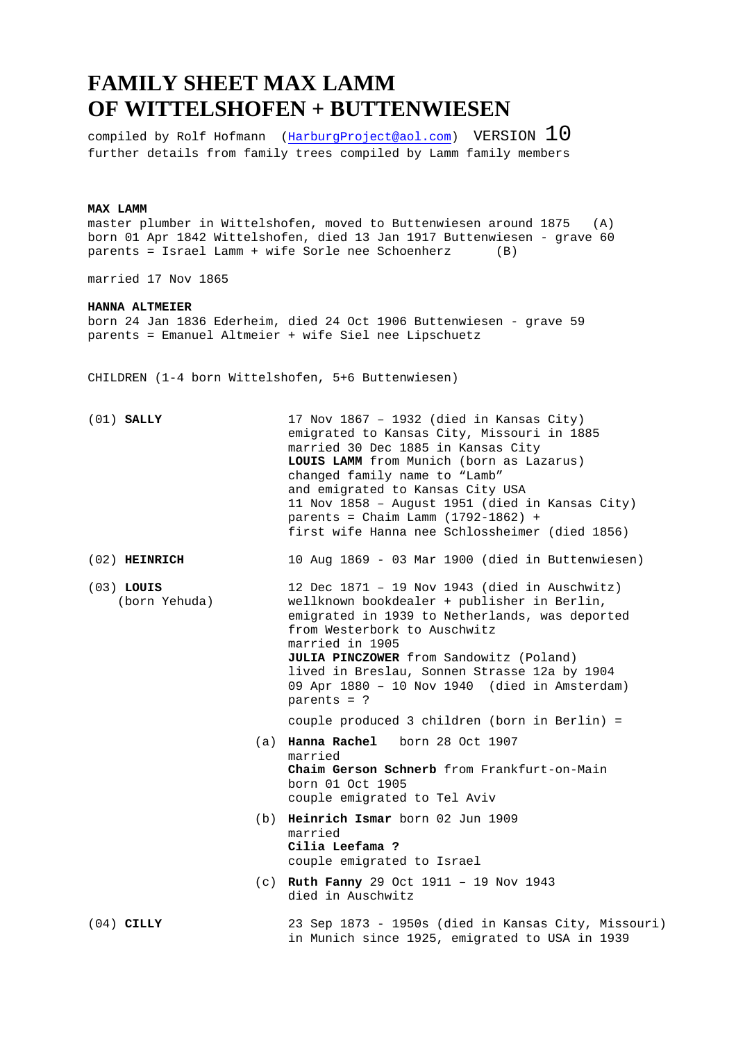## **FAMILY SHEET MAX LAMM OF WITTELSHOFEN + BUTTENWIESEN**

compiled by Rolf Hofmann ( $\frac{HarburgProject@aol.com}{Am$ ) VERSION  $10$ further details from family trees compiled by Lamm family members

## **MAX LAMM**

master plumber in Wittelshofen, moved to Buttenwiesen around 1875 (A) born 01 Apr 1842 Wittelshofen, died 13 Jan 1917 Buttenwiesen - grave 60 parents = Israel Lamm + wife Sorle nee Schoenherz (B)

married 17 Nov 1865

## **HANNA ALTMEIER**

born 24 Jan 1836 Ederheim, died 24 Oct 1906 Buttenwiesen - grave 59 parents = Emanuel Altmeier + wife Siel nee Lipschuetz

CHILDREN (1-4 born Wittelshofen, 5+6 Buttenwiesen)

| $(01)$ SALLY                  | 17 Nov 1867 - 1932 (died in Kansas City)<br>emigrated to Kansas City, Missouri in 1885<br>married 30 Dec 1885 in Kansas City<br>LOUIS LAMM from Munich (born as Lazarus)<br>changed family name to "Lamb"<br>and emigrated to Kansas City USA<br>11 Nov 1858 - August 1951 (died in Kansas City)<br>parents = Chaim Lamm $(1792-1862)$ +<br>first wife Hanna nee Schlossheimer (died 1856) |
|-------------------------------|--------------------------------------------------------------------------------------------------------------------------------------------------------------------------------------------------------------------------------------------------------------------------------------------------------------------------------------------------------------------------------------------|
| $(02)$ HEINRICH               | 10 Aug 1869 - 03 Mar 1900 (died in Buttenwiesen)                                                                                                                                                                                                                                                                                                                                           |
| $(03)$ LOUIS<br>(born Yehuda) | 12 Dec $1871 - 19$ Nov 1943 (died in Auschwitz)<br>wellknown bookdealer + publisher in Berlin,<br>emigrated in 1939 to Netherlands, was deported<br>from Westerbork to Auschwitz<br>married in 1905<br>JULIA PINCZOWER from Sandowitz (Poland)<br>lived in Breslau, Sonnen Strasse 12a by 1904<br>09 Apr 1880 - 10 Nov 1940 (died in Amsterdam)<br>$parents = ?$                           |
|                               | couple produced 3 children (born in Berlin) =                                                                                                                                                                                                                                                                                                                                              |
|                               | (a) Hanna Rachel born 28 Oct 1907<br>married<br>Chaim Gerson Schnerb from Frankfurt-on-Main<br>born 01 Oct 1905<br>couple emigrated to Tel Aviv                                                                                                                                                                                                                                            |
| (b)                           | Heinrich Ismar born 02 Jun 1909<br>married<br>Cilia Leefama ?<br>couple emigrated to Israel                                                                                                                                                                                                                                                                                                |
| (c)                           | Ruth Fanny 29 Oct 1911 - 19 Nov 1943<br>died in Auschwitz                                                                                                                                                                                                                                                                                                                                  |
| $(04)$ CILLY                  | 23 Sep 1873 - 1950s (died in Kansas City, Missouri)<br>in Munich since 1925, emigrated to USA in 1939                                                                                                                                                                                                                                                                                      |